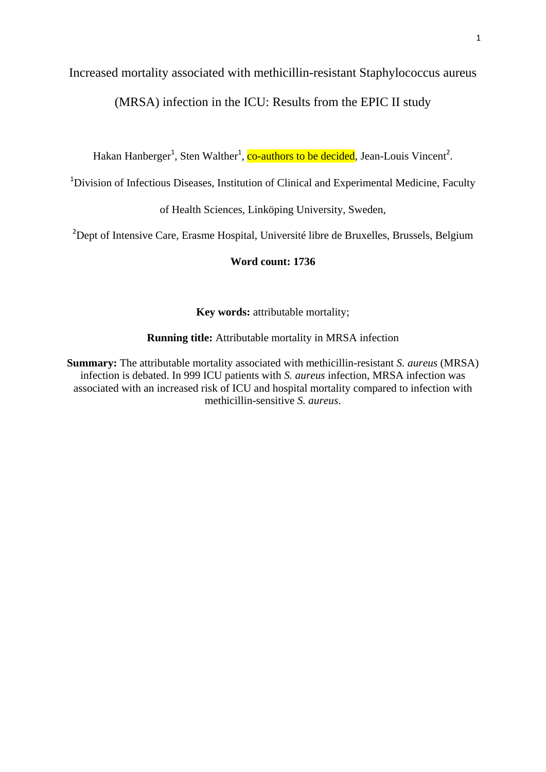# Increased mortality associated with methicillin-resistant Staphylococcus aureus

(MRSA) infection in the ICU: Results from the EPIC II study

Hakan Hanberger<sup>1</sup>, Sten Walther<sup>1</sup>, co-authors to be decided, Jean-Louis Vincent<sup>2</sup>.

<sup>1</sup>Division of Infectious Diseases, Institution of Clinical and Experimental Medicine, Faculty

of Health Sciences, Linköping University, Sweden,

<sup>2</sup>Dept of Intensive Care, Erasme Hospital, Université libre de Bruxelles, Brussels, Belgium

## **Word count: 1736**

**Key words:** attributable mortality;

**Running title:** Attributable mortality in MRSA infection

**Summary:** The attributable mortality associated with methicillin-resistant *S. aureus* (MRSA) infection is debated. In 999 ICU patients with *S. aureus* infection, MRSA infection was associated with an increased risk of ICU and hospital mortality compared to infection with methicillin-sensitive *S. aureus*.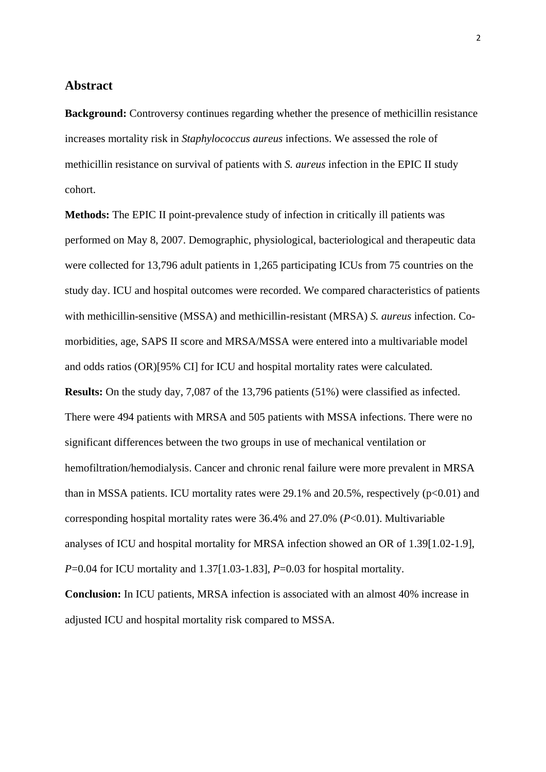## **Abstract**

**Background:** Controversy continues regarding whether the presence of methicillin resistance increases mortality risk in *Staphylococcus aureus* infections. We assessed the role of methicillin resistance on survival of patients with *S. aureus* infection in the EPIC II study cohort.

**Methods:** The EPIC II point-prevalence study of infection in critically ill patients was performed on May 8, 2007. Demographic, physiological, bacteriological and therapeutic data were collected for 13,796 adult patients in 1,265 participating ICUs from 75 countries on the study day. ICU and hospital outcomes were recorded. We compared characteristics of patients with methicillin-sensitive (MSSA) and methicillin-resistant (MRSA) *S. aureus* infection. Comorbidities, age, SAPS II score and MRSA/MSSA were entered into a multivariable model and odds ratios (OR)[95% CI] for ICU and hospital mortality rates were calculated. **Results:** On the study day, 7,087 of the 13,796 patients (51%) were classified as infected. There were 494 patients with MRSA and 505 patients with MSSA infections. There were no significant differences between the two groups in use of mechanical ventilation or hemofiltration/hemodialysis. Cancer and chronic renal failure were more prevalent in MRSA than in MSSA patients. ICU mortality rates were  $29.1\%$  and  $20.5\%$ , respectively ( $p<0.01$ ) and corresponding hospital mortality rates were 36.4% and 27.0% (*P*<0.01). Multivariable analyses of ICU and hospital mortality for MRSA infection showed an OR of 1.39[1.02-1.9], *P*=0.04 for ICU mortality and 1.37[1.03-1.83], *P*=0.03 for hospital mortality.

**Conclusion:** In ICU patients, MRSA infection is associated with an almost 40% increase in adjusted ICU and hospital mortality risk compared to MSSA.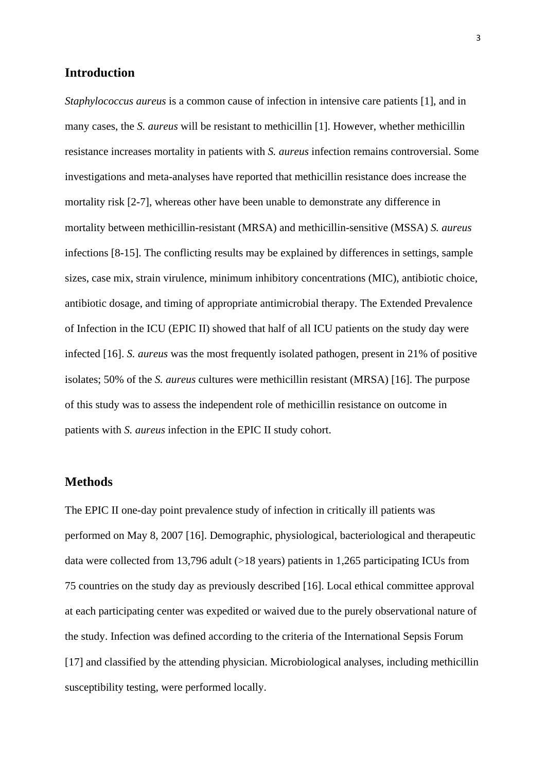# **Introduction**

*Staphylococcus aureus* is a common cause of infection in intensive care patients [1], and in many cases, the *S. aureus* will be resistant to methicillin [1]. However, whether methicillin resistance increases mortality in patients with *S. aureus* infection remains controversial. Some investigations and meta-analyses have reported that methicillin resistance does increase the mortality risk [2-7], whereas other have been unable to demonstrate any difference in mortality between methicillin-resistant (MRSA) and methicillin-sensitive (MSSA) *S. aureus* infections [8-15]. The conflicting results may be explained by differences in settings, sample sizes, case mix, strain virulence, minimum inhibitory concentrations (MIC), antibiotic choice, antibiotic dosage, and timing of appropriate antimicrobial therapy. The Extended Prevalence of Infection in the ICU (EPIC II) showed that half of all ICU patients on the study day were infected [16]. *S. aureus* was the most frequently isolated pathogen, present in 21% of positive isolates; 50% of the *S. aureus* cultures were methicillin resistant (MRSA) [16]. The purpose of this study was to assess the independent role of methicillin resistance on outcome in patients with *S. aureus* infection in the EPIC II study cohort.

## **Methods**

The EPIC II one-day point prevalence study of infection in critically ill patients was performed on May 8, 2007 [16]. Demographic, physiological, bacteriological and therapeutic data were collected from 13,796 adult (>18 years) patients in 1,265 participating ICUs from 75 countries on the study day as previously described [16]. Local ethical committee approval at each participating center was expedited or waived due to the purely observational nature of the study. Infection was defined according to the criteria of the International Sepsis Forum [17] and classified by the attending physician. Microbiological analyses, including methicillin susceptibility testing, were performed locally.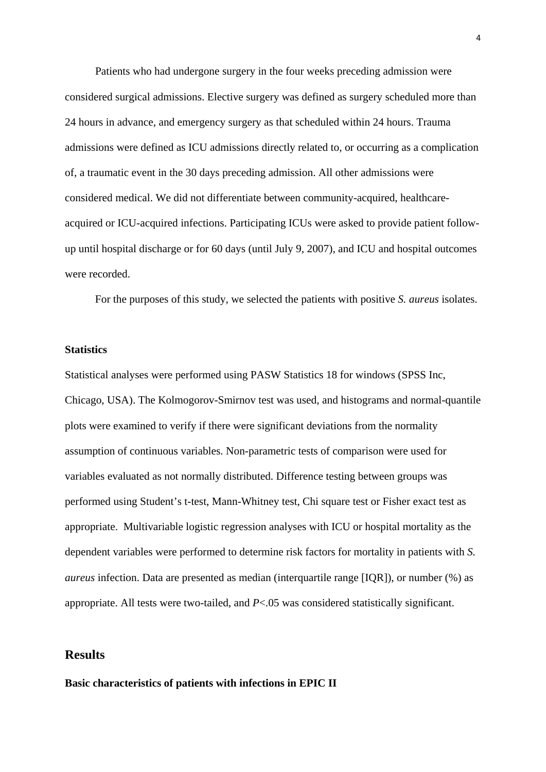Patients who had undergone surgery in the four weeks preceding admission were considered surgical admissions. Elective surgery was defined as surgery scheduled more than 24 hours in advance, and emergency surgery as that scheduled within 24 hours. Trauma admissions were defined as ICU admissions directly related to, or occurring as a complication of, a traumatic event in the 30 days preceding admission. All other admissions were considered medical. We did not differentiate between community-acquired, healthcareacquired or ICU-acquired infections. Participating ICUs were asked to provide patient followup until hospital discharge or for 60 days (until July 9, 2007), and ICU and hospital outcomes were recorded.

For the purposes of this study, we selected the patients with positive *S. aureus* isolates.

#### **Statistics**

Statistical analyses were performed using PASW Statistics 18 for windows (SPSS Inc, Chicago, USA). The Kolmogorov-Smirnov test was used, and histograms and normal-quantile plots were examined to verify if there were significant deviations from the normality assumption of continuous variables. Non-parametric tests of comparison were used for variables evaluated as not normally distributed. Difference testing between groups was performed using Student's t-test, Mann-Whitney test, Chi square test or Fisher exact test as appropriate. Multivariable logistic regression analyses with ICU or hospital mortality as the dependent variables were performed to determine risk factors for mortality in patients with *S. aureus* infection. Data are presented as median (interquartile range [IQR]), or number (%) as appropriate. All tests were two-tailed, and *P*<.05 was considered statistically significant.

## **Results**

**Basic characteristics of patients with infections in EPIC II**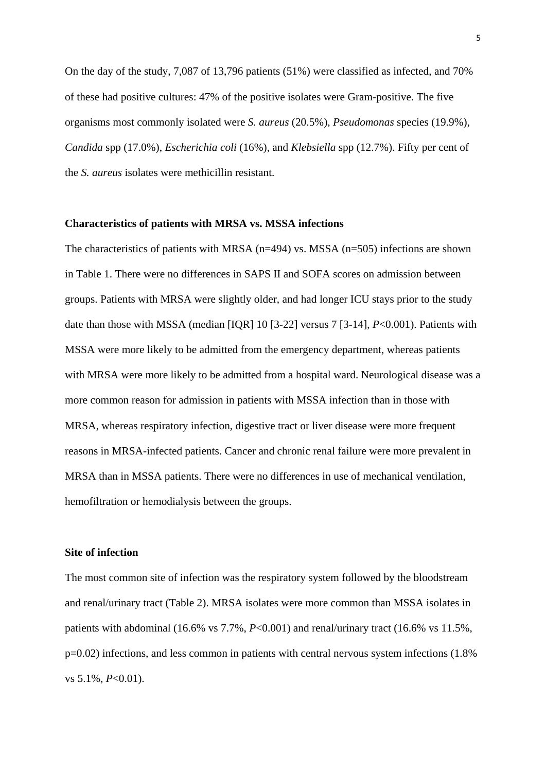On the day of the study, 7,087 of 13,796 patients (51%) were classified as infected, and 70% of these had positive cultures: 47% of the positive isolates were Gram-positive. The five organisms most commonly isolated were *S. aureus* (20.5%), *Pseudomonas* species (19.9%), *Candida* spp (17.0%), *Escherichia coli* (16%), and *Klebsiella* spp (12.7%). Fifty per cent of the *S. aureus* isolates were methicillin resistant.

#### **Characteristics of patients with MRSA vs. MSSA infections**

The characteristics of patients with MRSA ( $n=494$ ) vs. MSSA ( $n=505$ ) infections are shown in Table 1. There were no differences in SAPS II and SOFA scores on admission between groups. Patients with MRSA were slightly older, and had longer ICU stays prior to the study date than those with MSSA (median [IQR] 10 [3-22] versus 7 [3-14], *P*<0.001). Patients with MSSA were more likely to be admitted from the emergency department, whereas patients with MRSA were more likely to be admitted from a hospital ward. Neurological disease was a more common reason for admission in patients with MSSA infection than in those with MRSA, whereas respiratory infection, digestive tract or liver disease were more frequent reasons in MRSA-infected patients. Cancer and chronic renal failure were more prevalent in MRSA than in MSSA patients. There were no differences in use of mechanical ventilation, hemofiltration or hemodialysis between the groups.

#### **Site of infection**

The most common site of infection was the respiratory system followed by the bloodstream and renal/urinary tract (Table 2). MRSA isolates were more common than MSSA isolates in patients with abdominal (16.6% vs 7.7%, *P*<0.001) and renal/urinary tract (16.6% vs 11.5%, p=0.02) infections, and less common in patients with central nervous system infections (1.8% vs 5.1%, *P*<0.01).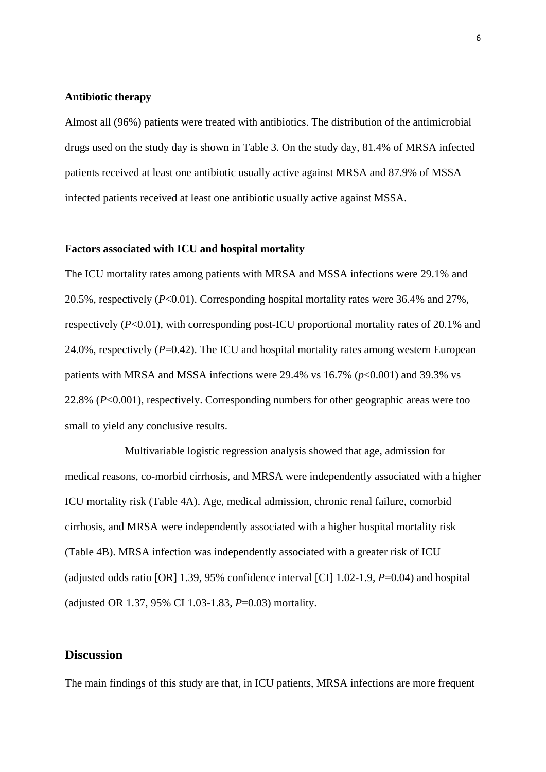#### **Antibiotic therapy**

Almost all (96%) patients were treated with antibiotics. The distribution of the antimicrobial drugs used on the study day is shown in Table 3. On the study day, 81.4% of MRSA infected patients received at least one antibiotic usually active against MRSA and 87.9% of MSSA infected patients received at least one antibiotic usually active against MSSA.

#### **Factors associated with ICU and hospital mortality**

The ICU mortality rates among patients with MRSA and MSSA infections were 29.1% and 20.5%, respectively (*P*<0.01). Corresponding hospital mortality rates were 36.4% and 27%, respectively (*P*<0.01), with corresponding post-ICU proportional mortality rates of 20.1% and 24.0%, respectively (*P*=0.42). The ICU and hospital mortality rates among western European patients with MRSA and MSSA infections were  $29.4\%$  vs  $16.7\%$  ( $p<0.001$ ) and  $39.3\%$  vs 22.8% (*P*<0.001), respectively. Corresponding numbers for other geographic areas were too small to yield any conclusive results.

Multivariable logistic regression analysis showed that age, admission for medical reasons, co-morbid cirrhosis, and MRSA were independently associated with a higher ICU mortality risk (Table 4A). Age, medical admission, chronic renal failure, comorbid cirrhosis, and MRSA were independently associated with a higher hospital mortality risk (Table 4B). MRSA infection was independently associated with a greater risk of ICU (adjusted odds ratio [OR] 1.39, 95% confidence interval [CI] 1.02-1.9, *P*=0.04) and hospital (adjusted OR 1.37, 95% CI 1.03-1.83, *P*=0.03) mortality.

### **Discussion**

The main findings of this study are that, in ICU patients, MRSA infections are more frequent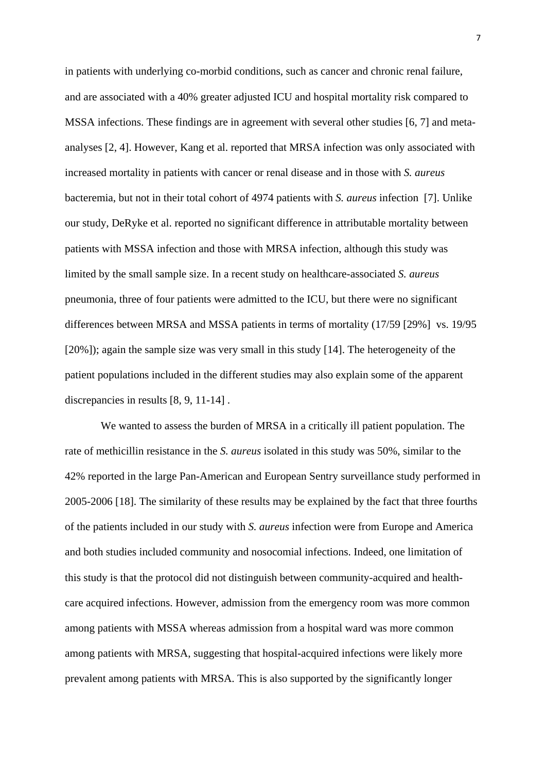in patients with underlying co-morbid conditions, such as cancer and chronic renal failure, and are associated with a 40% greater adjusted ICU and hospital mortality risk compared to MSSA infections. These findings are in agreement with several other studies [6, 7] and metaanalyses [2, 4]. However, Kang et al. reported that MRSA infection was only associated with increased mortality in patients with cancer or renal disease and in those with *S. aureus* bacteremia, but not in their total cohort of 4974 patients with *S. aureus* infection [7]. Unlike our study, DeRyke et al. reported no significant difference in attributable mortality between patients with MSSA infection and those with MRSA infection, although this study was limited by the small sample size. In a recent study on healthcare-associated *S. aureus* pneumonia, three of four patients were admitted to the ICU, but there were no significant differences between MRSA and MSSA patients in terms of mortality (17/59 [29%] vs. 19/95 [20%]); again the sample size was very small in this study [14]. The heterogeneity of the patient populations included in the different studies may also explain some of the apparent discrepancies in results [8, 9, 11-14] .

 We wanted to assess the burden of MRSA in a critically ill patient population. The rate of methicillin resistance in the *S. aureus* isolated in this study was 50%, similar to the 42% reported in the large Pan-American and European Sentry surveillance study performed in 2005-2006 [18]. The similarity of these results may be explained by the fact that three fourths of the patients included in our study with *S. aureus* infection were from Europe and America and both studies included community and nosocomial infections. Indeed, one limitation of this study is that the protocol did not distinguish between community-acquired and healthcare acquired infections. However, admission from the emergency room was more common among patients with MSSA whereas admission from a hospital ward was more common among patients with MRSA, suggesting that hospital-acquired infections were likely more prevalent among patients with MRSA. This is also supported by the significantly longer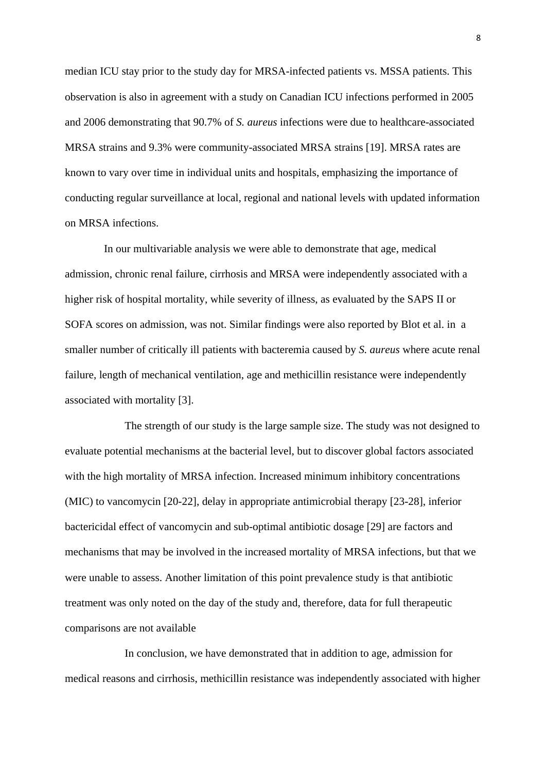median ICU stay prior to the study day for MRSA-infected patients vs. MSSA patients. This observation is also in agreement with a study on Canadian ICU infections performed in 2005 and 2006 demonstrating that 90.7% of *S. aureus* infections were due to healthcare-associated MRSA strains and 9.3% were community-associated MRSA strains [19]. MRSA rates are known to vary over time in individual units and hospitals, emphasizing the importance of conducting regular surveillance at local, regional and national levels with updated information on MRSA infections.

In our multivariable analysis we were able to demonstrate that age, medical admission, chronic renal failure, cirrhosis and MRSA were independently associated with a higher risk of hospital mortality, while severity of illness, as evaluated by the SAPS II or SOFA scores on admission, was not. Similar findings were also reported by Blot et al. in a smaller number of critically ill patients with bacteremia caused by *S. aureus* where acute renal failure, length of mechanical ventilation, age and methicillin resistance were independently associated with mortality [3].

The strength of our study is the large sample size. The study was not designed to evaluate potential mechanisms at the bacterial level, but to discover global factors associated with the high mortality of MRSA infection. Increased minimum inhibitory concentrations (MIC) to vancomycin [20-22], delay in appropriate antimicrobial therapy [23-28], inferior bactericidal effect of vancomycin and sub-optimal antibiotic dosage [29] are factors and mechanisms that may be involved in the increased mortality of MRSA infections, but that we were unable to assess. Another limitation of this point prevalence study is that antibiotic treatment was only noted on the day of the study and, therefore, data for full therapeutic comparisons are not available

In conclusion, we have demonstrated that in addition to age, admission for medical reasons and cirrhosis, methicillin resistance was independently associated with higher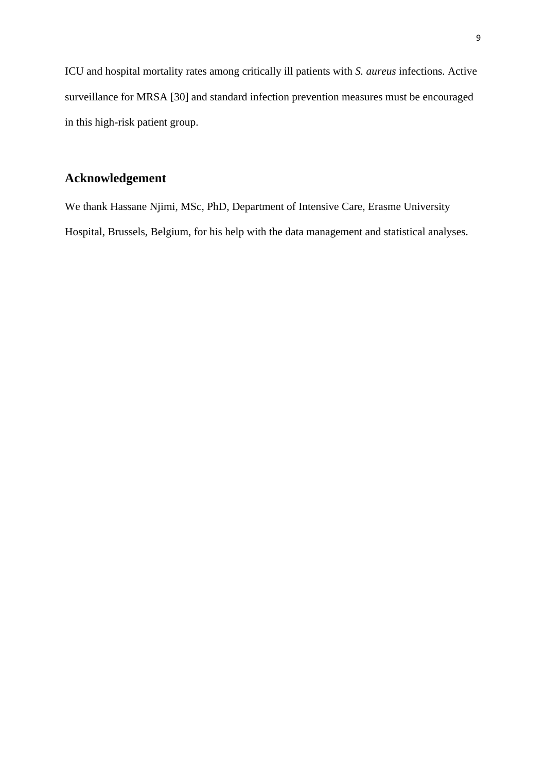ICU and hospital mortality rates among critically ill patients with *S. aureus* infections. Active surveillance for MRSA [30] and standard infection prevention measures must be encouraged in this high-risk patient group.

# **Acknowledgement**

We thank Hassane Njimi, MSc, PhD, Department of Intensive Care, Erasme University Hospital, Brussels, Belgium, for his help with the data management and statistical analyses.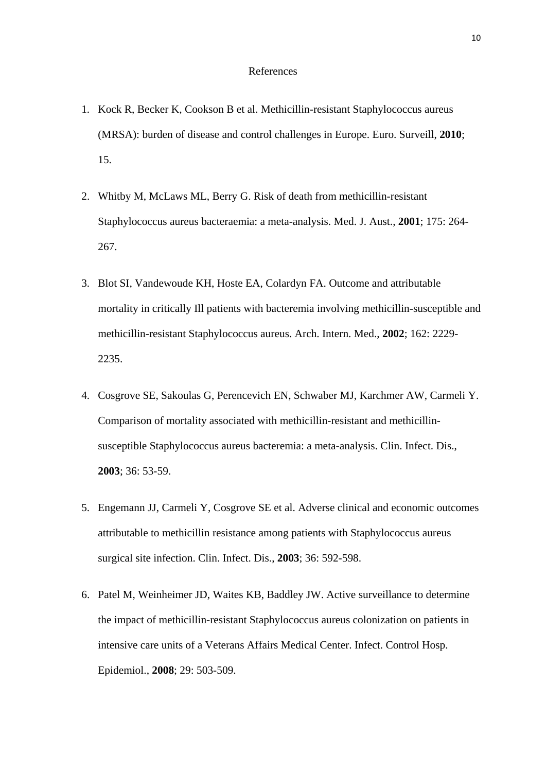#### References

- 1. Kock R, Becker K, Cookson B et al. Methicillin-resistant Staphylococcus aureus (MRSA): burden of disease and control challenges in Europe. Euro. Surveill, **2010**; 15.
- 2. Whitby M, McLaws ML, Berry G. Risk of death from methicillin-resistant Staphylococcus aureus bacteraemia: a meta-analysis. Med. J. Aust., **2001**; 175: 264- 267.
- 3. Blot SI, Vandewoude KH, Hoste EA, Colardyn FA. Outcome and attributable mortality in critically Ill patients with bacteremia involving methicillin-susceptible and methicillin-resistant Staphylococcus aureus. Arch. Intern. Med., **2002**; 162: 2229- 2235.
- 4. Cosgrove SE, Sakoulas G, Perencevich EN, Schwaber MJ, Karchmer AW, Carmeli Y. Comparison of mortality associated with methicillin-resistant and methicillinsusceptible Staphylococcus aureus bacteremia: a meta-analysis. Clin. Infect. Dis., **2003**; 36: 53-59.
- 5. Engemann JJ, Carmeli Y, Cosgrove SE et al. Adverse clinical and economic outcomes attributable to methicillin resistance among patients with Staphylococcus aureus surgical site infection. Clin. Infect. Dis., **2003**; 36: 592-598.
- 6. Patel M, Weinheimer JD, Waites KB, Baddley JW. Active surveillance to determine the impact of methicillin-resistant Staphylococcus aureus colonization on patients in intensive care units of a Veterans Affairs Medical Center. Infect. Control Hosp. Epidemiol., **2008**; 29: 503-509.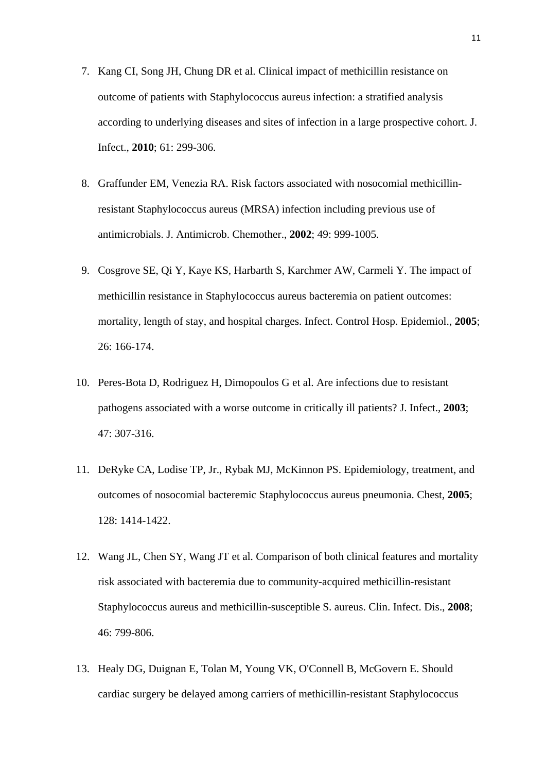- 7. Kang CI, Song JH, Chung DR et al. Clinical impact of methicillin resistance on outcome of patients with Staphylococcus aureus infection: a stratified analysis according to underlying diseases and sites of infection in a large prospective cohort. J. Infect., **2010**; 61: 299-306.
- 8. Graffunder EM, Venezia RA. Risk factors associated with nosocomial methicillinresistant Staphylococcus aureus (MRSA) infection including previous use of antimicrobials. J. Antimicrob. Chemother., **2002**; 49: 999-1005.
- 9. Cosgrove SE, Qi Y, Kaye KS, Harbarth S, Karchmer AW, Carmeli Y. The impact of methicillin resistance in Staphylococcus aureus bacteremia on patient outcomes: mortality, length of stay, and hospital charges. Infect. Control Hosp. Epidemiol., **2005**; 26: 166-174.
- 10. Peres-Bota D, Rodriguez H, Dimopoulos G et al. Are infections due to resistant pathogens associated with a worse outcome in critically ill patients? J. Infect., **2003**; 47: 307-316.
- 11. DeRyke CA, Lodise TP, Jr., Rybak MJ, McKinnon PS. Epidemiology, treatment, and outcomes of nosocomial bacteremic Staphylococcus aureus pneumonia. Chest, **2005**; 128: 1414-1422.
- 12. Wang JL, Chen SY, Wang JT et al. Comparison of both clinical features and mortality risk associated with bacteremia due to community-acquired methicillin-resistant Staphylococcus aureus and methicillin-susceptible S. aureus. Clin. Infect. Dis., **2008**; 46: 799-806.
- 13. Healy DG, Duignan E, Tolan M, Young VK, O'Connell B, McGovern E. Should cardiac surgery be delayed among carriers of methicillin-resistant Staphylococcus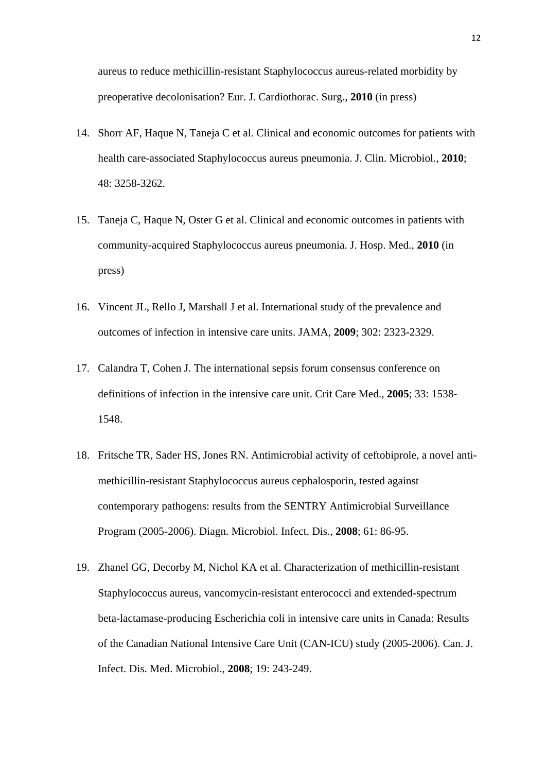aureus to reduce methicillin-resistant Staphylococcus aureus-related morbidity by preoperative decolonisation? Eur. J. Cardiothorac. Surg., **2010** (in press)

- 14. Shorr AF, Haque N, Taneja C et al. Clinical and economic outcomes for patients with health care-associated Staphylococcus aureus pneumonia. J. Clin. Microbiol., **2010**; 48: 3258-3262.
- 15. Taneja C, Haque N, Oster G et al. Clinical and economic outcomes in patients with community-acquired Staphylococcus aureus pneumonia. J. Hosp. Med., **2010** (in press)
- 16. Vincent JL, Rello J, Marshall J et al. International study of the prevalence and outcomes of infection in intensive care units. JAMA, **2009**; 302: 2323-2329.
- 17. Calandra T, Cohen J. The international sepsis forum consensus conference on definitions of infection in the intensive care unit. Crit Care Med., **2005**; 33: 1538- 1548.
- 18. Fritsche TR, Sader HS, Jones RN. Antimicrobial activity of ceftobiprole, a novel antimethicillin-resistant Staphylococcus aureus cephalosporin, tested against contemporary pathogens: results from the SENTRY Antimicrobial Surveillance Program (2005-2006). Diagn. Microbiol. Infect. Dis., **2008**; 61: 86-95.
- 19. Zhanel GG, Decorby M, Nichol KA et al. Characterization of methicillin-resistant Staphylococcus aureus, vancomycin-resistant enterococci and extended-spectrum beta-lactamase-producing Escherichia coli in intensive care units in Canada: Results of the Canadian National Intensive Care Unit (CAN-ICU) study (2005-2006). Can. J. Infect. Dis. Med. Microbiol., **2008**; 19: 243-249.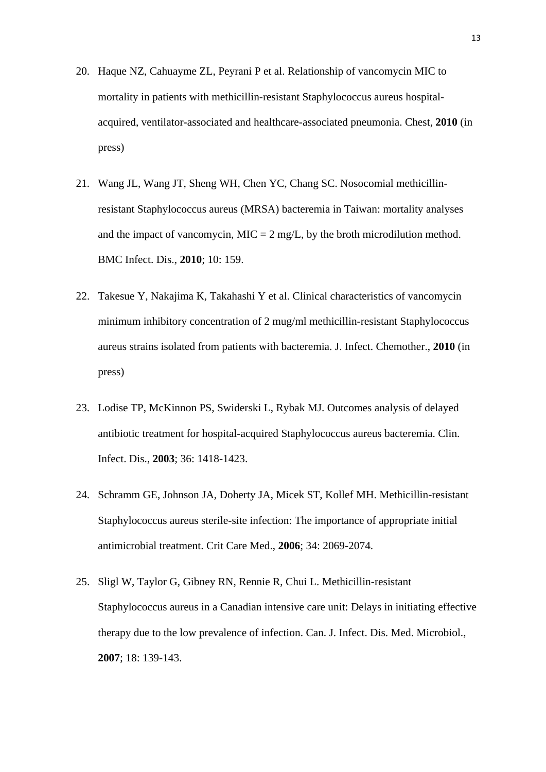- 20. Haque NZ, Cahuayme ZL, Peyrani P et al. Relationship of vancomycin MIC to mortality in patients with methicillin-resistant Staphylococcus aureus hospitalacquired, ventilator-associated and healthcare-associated pneumonia. Chest, **2010** (in press)
- 21. Wang JL, Wang JT, Sheng WH, Chen YC, Chang SC. Nosocomial methicillinresistant Staphylococcus aureus (MRSA) bacteremia in Taiwan: mortality analyses and the impact of vancomycin,  $MIC = 2 mg/L$ , by the broth microdilution method. BMC Infect. Dis., **2010**; 10: 159.
- 22. Takesue Y, Nakajima K, Takahashi Y et al. Clinical characteristics of vancomycin minimum inhibitory concentration of 2 mug/ml methicillin-resistant Staphylococcus aureus strains isolated from patients with bacteremia. J. Infect. Chemother., **2010** (in press)
- 23. Lodise TP, McKinnon PS, Swiderski L, Rybak MJ. Outcomes analysis of delayed antibiotic treatment for hospital-acquired Staphylococcus aureus bacteremia. Clin. Infect. Dis., **2003**; 36: 1418-1423.
- 24. Schramm GE, Johnson JA, Doherty JA, Micek ST, Kollef MH. Methicillin-resistant Staphylococcus aureus sterile-site infection: The importance of appropriate initial antimicrobial treatment. Crit Care Med., **2006**; 34: 2069-2074.
- 25. Sligl W, Taylor G, Gibney RN, Rennie R, Chui L. Methicillin-resistant Staphylococcus aureus in a Canadian intensive care unit: Delays in initiating effective therapy due to the low prevalence of infection. Can. J. Infect. Dis. Med. Microbiol., **2007**; 18: 139-143.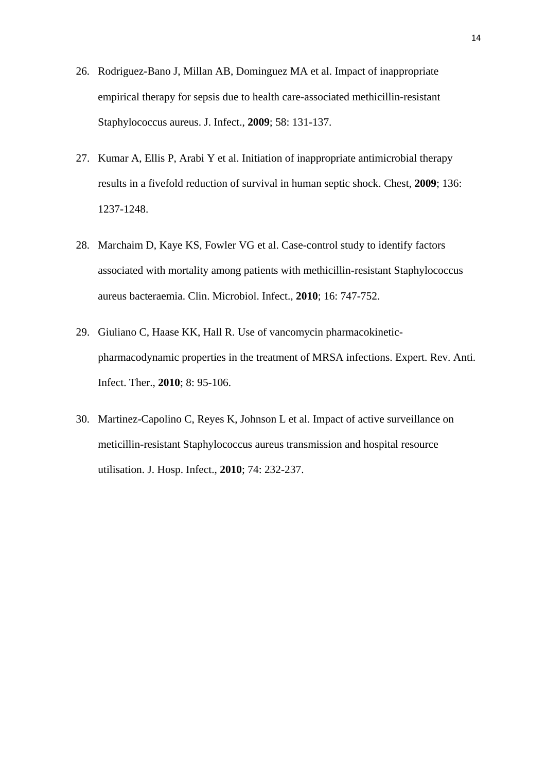- 26. Rodriguez-Bano J, Millan AB, Dominguez MA et al. Impact of inappropriate empirical therapy for sepsis due to health care-associated methicillin-resistant Staphylococcus aureus. J. Infect., **2009**; 58: 131-137.
- 27. Kumar A, Ellis P, Arabi Y et al. Initiation of inappropriate antimicrobial therapy results in a fivefold reduction of survival in human septic shock. Chest, **2009**; 136: 1237-1248.
- 28. Marchaim D, Kaye KS, Fowler VG et al. Case-control study to identify factors associated with mortality among patients with methicillin-resistant Staphylococcus aureus bacteraemia. Clin. Microbiol. Infect., **2010**; 16: 747-752.
- 29. Giuliano C, Haase KK, Hall R. Use of vancomycin pharmacokineticpharmacodynamic properties in the treatment of MRSA infections. Expert. Rev. Anti. Infect. Ther., **2010**; 8: 95-106.
- 30. Martinez-Capolino C, Reyes K, Johnson L et al. Impact of active surveillance on meticillin-resistant Staphylococcus aureus transmission and hospital resource utilisation. J. Hosp. Infect., **2010**; 74: 232-237.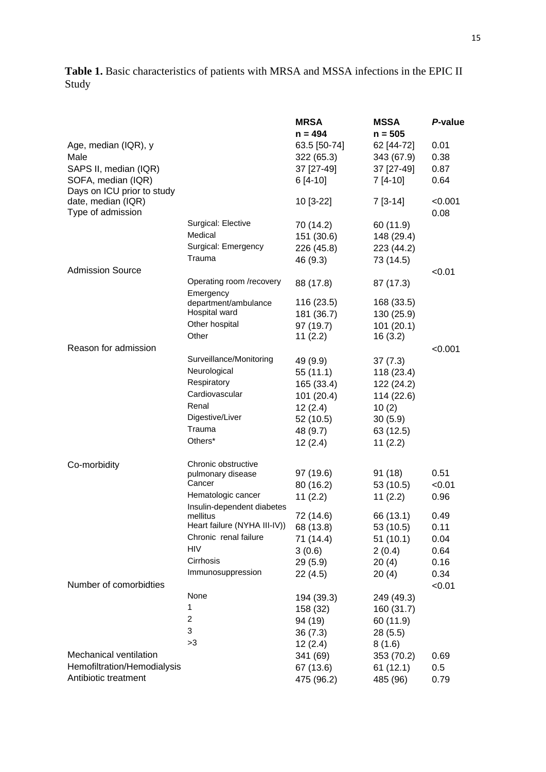# **Table 1.** Basic characteristics of patients with MRSA and MSSA infections in the EPIC II Study

|                                             |                                          | <b>MRSA</b>              | <b>MSSA</b>              | P-value      |
|---------------------------------------------|------------------------------------------|--------------------------|--------------------------|--------------|
|                                             |                                          | $n = 494$                | $n = 505$                |              |
| Age, median (IQR), y<br>Male                |                                          | 63.5 [50-74]             | 62 [44-72]               | 0.01<br>0.38 |
|                                             |                                          | 322 (65.3)<br>37 [27-49] | 343 (67.9)<br>37 [27-49] | 0.87         |
| SAPS II, median (IQR)<br>SOFA, median (IQR) |                                          | $6[4-10]$                | $7[4-10]$                | 0.64         |
| Days on ICU prior to study                  |                                          |                          |                          |              |
| date, median (IQR)                          |                                          | 10 [3-22]                | $7[3-14]$                | < 0.001      |
| Type of admission                           |                                          |                          |                          | 0.08         |
|                                             | Surgical: Elective                       | 70 (14.2)                | 60 (11.9)                |              |
|                                             | Medical                                  | 151 (30.6)               | 148 (29.4)               |              |
|                                             | Surgical: Emergency                      | 226 (45.8)               | 223 (44.2)               |              |
|                                             | Trauma                                   | 46 (9.3)                 | 73 (14.5)                |              |
| <b>Admission Source</b>                     |                                          |                          |                          | < 0.01       |
|                                             | Operating room /recovery                 | 88 (17.8)                | 87 (17.3)                |              |
|                                             | Emergency                                |                          |                          |              |
|                                             | department/ambulance<br>Hospital ward    | 116(23.5)                | 168 (33.5)               |              |
|                                             | Other hospital                           | 181 (36.7)               | 130 (25.9)               |              |
|                                             | Other                                    | 97 (19.7)<br>11(2.2)     | 101(20.1)<br>16(3.2)     |              |
| Reason for admission                        |                                          |                          |                          |              |
|                                             | Surveillance/Monitoring                  | 49 (9.9)                 | 37(7.3)                  | < 0.001      |
|                                             | Neurological                             | 55(11.1)                 | 118 (23.4)               |              |
|                                             | Respiratory                              | 165 (33.4)               | 122 (24.2)               |              |
|                                             | Cardiovascular                           | 101(20.4)                | 114 (22.6)               |              |
|                                             | Renal                                    | 12(2.4)                  | 10(2)                    |              |
|                                             | Digestive/Liver                          | 52 (10.5)                | 30(5.9)                  |              |
|                                             | Trauma                                   | 48 (9.7)                 | 63 (12.5)                |              |
|                                             | Others*                                  | 12(2.4)                  | 11(2.2)                  |              |
| Co-morbidity                                | Chronic obstructive                      |                          |                          |              |
|                                             | pulmonary disease                        | 97 (19.6)                | 91 (18)                  | 0.51         |
|                                             | Cancer                                   | 80 (16.2)                | 53 (10.5)                | < 0.01       |
|                                             | Hematologic cancer                       | 11(2.2)                  | 11(2.2)                  | 0.96         |
|                                             | Insulin-dependent diabetes               |                          |                          |              |
|                                             | mellitus<br>Heart failure (NYHA III-IV)) | 72 (14.6)                | 66 (13.1)                | 0.49<br>0.11 |
|                                             | Chronic renal failure                    | 68 (13.8)<br>71 (14.4)   | 53 (10.5)<br>51(10.1)    | 0.04         |
|                                             | <b>HIV</b>                               | 3(0.6)                   | 2(0.4)                   | 0.64         |
|                                             | Cirrhosis                                | 29 (5.9)                 | 20(4)                    | 0.16         |
|                                             | Immunosuppression                        | 22 (4.5)                 | 20(4)                    | 0.34         |
| Number of comorbidties                      |                                          |                          |                          | < 0.01       |
|                                             | None                                     | 194 (39.3)               | 249 (49.3)               |              |
|                                             | 1                                        | 158 (32)                 | 160 (31.7)               |              |
|                                             | 2                                        | 94 (19)                  | 60 (11.9)                |              |
|                                             | 3                                        | 36(7.3)                  | 28 (5.5)                 |              |
|                                             | >3                                       | 12(2.4)                  | 8(1.6)                   |              |
| Mechanical ventilation                      |                                          | 341 (69)                 | 353 (70.2)               | 0.69         |
| Hemofiltration/Hemodialysis                 |                                          | 67 (13.6)                | 61(12.1)                 | 0.5          |
| Antibiotic treatment                        |                                          | 475 (96.2)               | 485 (96)                 | 0.79         |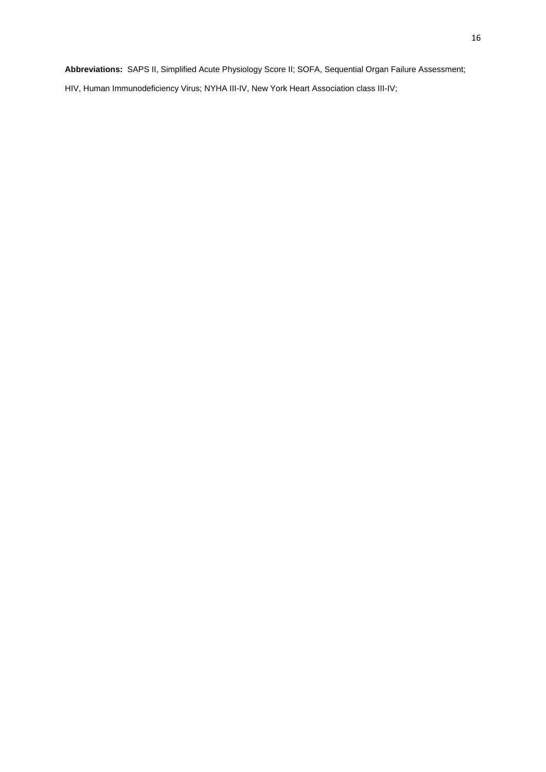**Abbreviations:** SAPS II, Simplified Acute Physiology Score II; SOFA, Sequential Organ Failure Assessment;

HIV, Human Immunodeficiency Virus; NYHA III-IV, New York Heart Association class III-IV;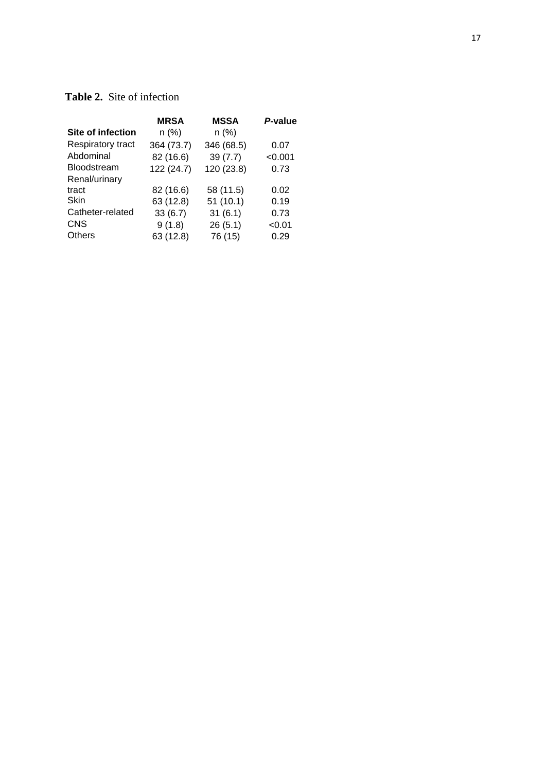# **Table 2.** Site of infection

|                          | <b>MRSA</b> | <b>MSSA</b> | P-value |
|--------------------------|-------------|-------------|---------|
| <b>Site of infection</b> | n (%)       | $n$ (%)     |         |
| Respiratory tract        | 364 (73.7)  | 346 (68.5)  | 0.07    |
| Abdominal                | 82 (16.6)   | 39(7.7)     | < 0.001 |
| Bloodstream              | 122 (24.7)  | 120 (23.8)  | 0.73    |
| Renal/urinary            |             |             |         |
| tract                    | 82 (16.6)   | 58 (11.5)   | 0.02    |
| Skin                     | 63 (12.8)   | 51(10.1)    | 0.19    |
| Catheter-related         | 33(6.7)     | 31(6.1)     | 0.73    |
| <b>CNS</b>               | 9(1.8)      | 26(5.1)     | < 0.01  |
| <b>Others</b>            | 63 (12.8)   | 76 (15)     | 0.29    |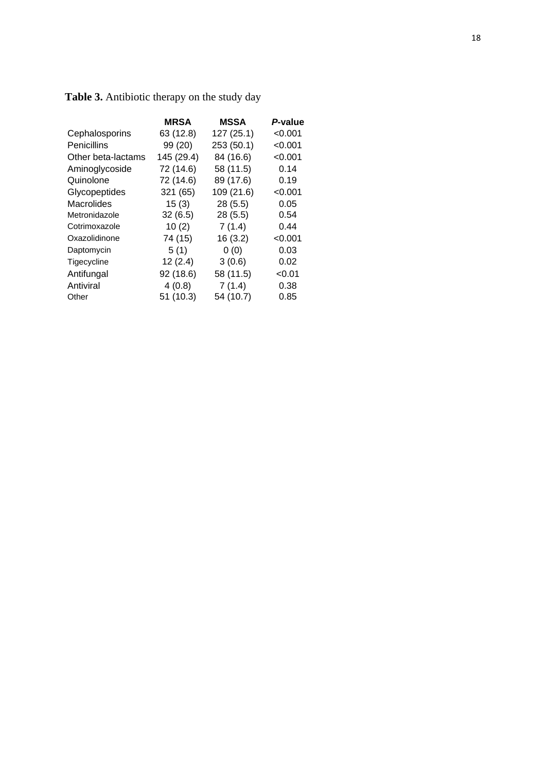|                    | <b>MRSA</b> | <b>MSSA</b> | P-value |
|--------------------|-------------|-------------|---------|
| Cephalosporins     | 63 (12.8)   | 127 (25.1)  | < 0.001 |
| Penicillins        | 99 (20)     | 253 (50.1)  | < 0.001 |
| Other beta-lactams | 145 (29.4)  | 84 (16.6)   | < 0.001 |
| Aminoglycoside     | 72 (14.6)   | 58 (11.5)   | 0.14    |
| Quinolone          | 72 (14.6)   | 89 (17.6)   | 0.19    |
| Glycopeptides      | 321 (65)    | 109 (21.6)  | < 0.001 |
| Macrolides         | 15(3)       | 28(5.5)     | 0.05    |
| Metronidazole      | 32(6.5)     | 28(5.5)     | 0.54    |
| Cotrimoxazole      | 10(2)       | 7(1.4)      | 0.44    |
| Oxazolidinone      | 74 (15)     | 16(3.2)     | < 0.001 |
| Daptomycin         | 5(1)        | 0(0)        | 0.03    |
| Tigecycline        | 12(2.4)     | 3(0.6)      | 0.02    |
| Antifungal         | 92 (18.6)   | 58 (11.5)   | < 0.01  |
| Antiviral          | 4(0.8)      | 7(1.4)      | 0.38    |
| Other              | 51 (10.3)   | 54 (10.7)   | 0.85    |

**Table 3.** Antibiotic therapy on the study day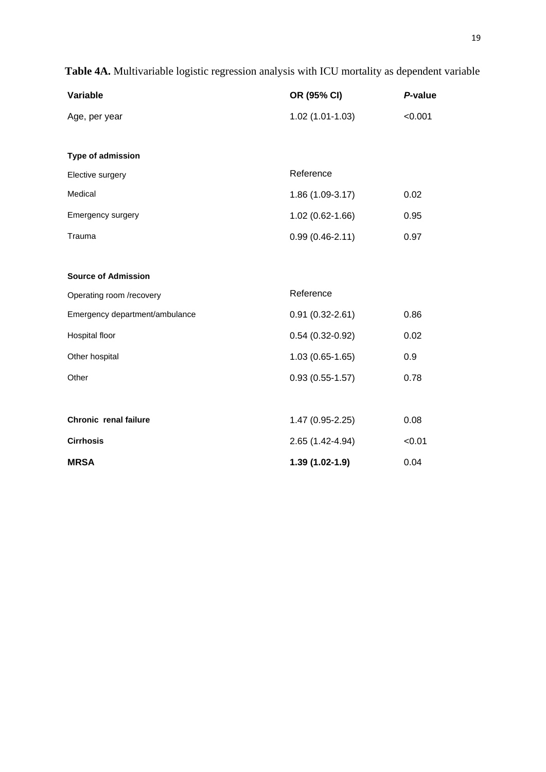| Variable                       | OR (95% CI)         | P-value |
|--------------------------------|---------------------|---------|
| Age, per year                  | $1.02(1.01-1.03)$   | < 0.001 |
|                                |                     |         |
| Type of admission              |                     |         |
| Elective surgery               | Reference           |         |
| Medical                        | 1.86 (1.09-3.17)    | 0.02    |
| Emergency surgery              | 1.02 (0.62-1.66)    | 0.95    |
| Trauma                         | $0.99(0.46 - 2.11)$ | 0.97    |
|                                |                     |         |
| <b>Source of Admission</b>     |                     |         |
| Operating room /recovery       | Reference           |         |
| Emergency department/ambulance | $0.91(0.32 - 2.61)$ | 0.86    |
| Hospital floor                 | $0.54(0.32 - 0.92)$ | 0.02    |
| Other hospital                 | $1.03(0.65-1.65)$   | 0.9     |
| Other                          | $0.93(0.55-1.57)$   | 0.78    |
|                                |                     |         |
| Chronic renal failure          | 1.47 (0.95-2.25)    | 0.08    |
| <b>Cirrhosis</b>               | 2.65 (1.42-4.94)    | < 0.01  |
| <b>MRSA</b>                    | 1.39 (1.02-1.9)     | 0.04    |

**Table 4A.** Multivariable logistic regression analysis with ICU mortality as dependent variable